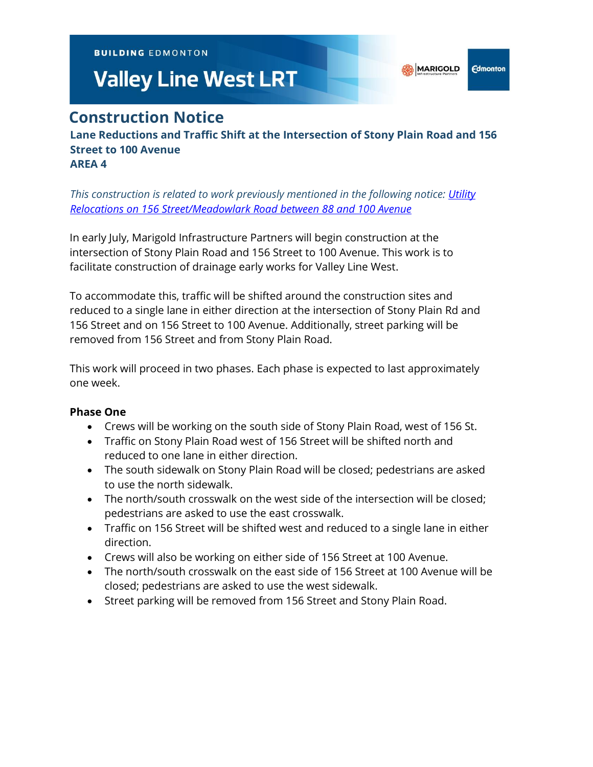**BUILDING EDMONTON** 

# **Valley Line West LRT**

# **Construction Notice**

**Lane Reductions and Traffic Shift at the Intersection of Stony Plain Road and 156 Street to 100 Avenue AREA 4**

*This construction is related to work previously mentioned in the following notice: [Utility](https://vlwcommprod.blob.core.windows.net/vlwcomm-files/dbb66509-d747-4d73-a07c-6b15b3818fdc-ce9b08f7-e3ea-48f9-bcb2-63ae075c9de9-1-Mar-22%20156%20St%2088-100%20Ave%20Utility%20Relocates.pdf)  [Relocations on 156 Street/Meadowlark Road between 88 and 100 Avenue](https://vlwcommprod.blob.core.windows.net/vlwcomm-files/dbb66509-d747-4d73-a07c-6b15b3818fdc-ce9b08f7-e3ea-48f9-bcb2-63ae075c9de9-1-Mar-22%20156%20St%2088-100%20Ave%20Utility%20Relocates.pdf)*

In early July, Marigold Infrastructure Partners will begin construction at the intersection of Stony Plain Road and 156 Street to 100 Avenue. This work is to facilitate construction of drainage early works for Valley Line West.

To accommodate this, traffic will be shifted around the construction sites and reduced to a single lane in either direction at the intersection of Stony Plain Rd and 156 Street and on 156 Street to 100 Avenue. Additionally, street parking will be removed from 156 Street and from Stony Plain Road.

This work will proceed in two phases. Each phase is expected to last approximately one week.

# **Phase One**

- Crews will be working on the south side of Stony Plain Road, west of 156 St.
- Traffic on Stony Plain Road west of 156 Street will be shifted north and reduced to one lane in either direction.
- The south sidewalk on Stony Plain Road will be closed; pedestrians are asked to use the north sidewalk.
- The north/south crosswalk on the west side of the intersection will be closed; pedestrians are asked to use the east crosswalk.
- Traffic on 156 Street will be shifted west and reduced to a single lane in either direction.
- Crews will also be working on either side of 156 Street at 100 Avenue.
- The north/south crosswalk on the east side of 156 Street at 100 Avenue will be closed; pedestrians are asked to use the west sidewalk.
- Street parking will be removed from 156 Street and Stony Plain Road.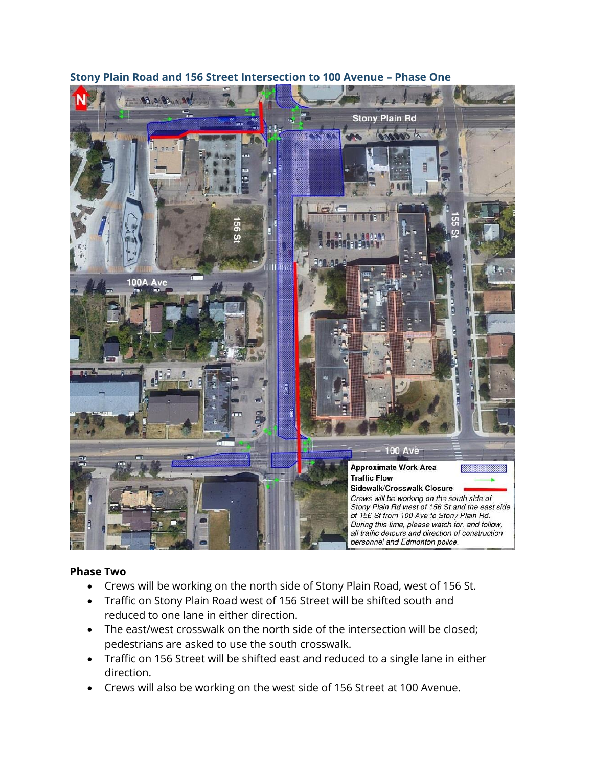

## **Stony Plain Road and 156 Street Intersection to 100 Avenue – Phase One**

## **Phase Two**

- Crews will be working on the north side of Stony Plain Road, west of 156 St.
- Traffic on Stony Plain Road west of 156 Street will be shifted south and reduced to one lane in either direction.
- The east/west crosswalk on the north side of the intersection will be closed; pedestrians are asked to use the south crosswalk.
- Traffic on 156 Street will be shifted east and reduced to a single lane in either direction.
- Crews will also be working on the west side of 156 Street at 100 Avenue.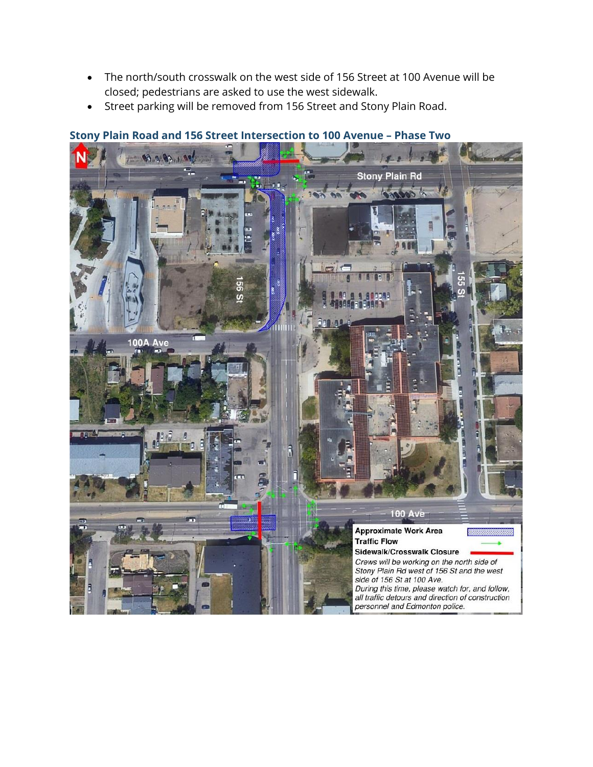- The north/south crosswalk on the west side of 156 Street at 100 Avenue will be closed; pedestrians are asked to use the west sidewalk.
- Street parking will be removed from 156 Street and Stony Plain Road.



### **Stony Plain Road and 156 Street Intersection to 100 Avenue – Phase Two**